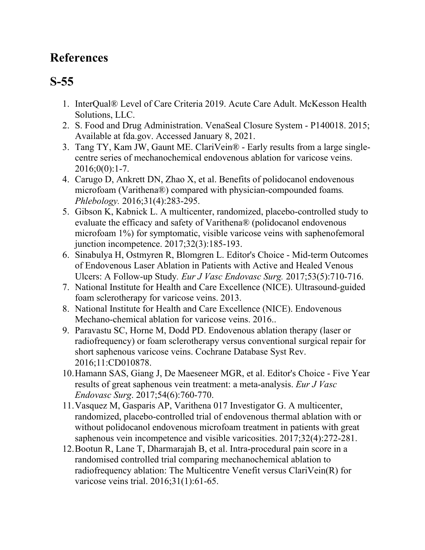## **References**

## **S-55**

- 1. InterQual® Level of Care Criteria 2019. Acute Care Adult. McKesson Health Solutions, LLC.
- 2. S. Food and Drug Administration. VenaSeal Closure System P140018. 2015; Available at fda.gov. Accessed January 8, 2021.
- 3. Tang TY, Kam JW, Gaunt ME. ClariVein® Early results from a large singlecentre series of mechanochemical endovenous ablation for varicose veins. 2016;0(0):1-7.
- 4. Carugo D, Ankrett DN, Zhao X, et al. Benefits of polidocanol endovenous microfoam (Varithena®) compared with physician-compounded foams*. Phlebology.* 2016;31(4):283-295.
- 5. Gibson K, Kabnick L. A multicenter, randomized, placebo-controlled study to evaluate the efficacy and safety of Varithena® (polidocanol endovenous microfoam 1%) for symptomatic, visible varicose veins with saphenofemoral junction incompetence. 2017;32(3):185-193.
- 6. Sinabulya H, Ostmyren R, Blomgren L. Editor's Choice Mid-term Outcomes of Endovenous Laser Ablation in Patients with Active and Healed Venous Ulcers: A Follow-up Study*. Eur J Vasc Endovasc Surg.* 2017;53(5):710-716.
- 7. National Institute for Health and Care Excellence (NICE). Ultrasound-guided foam sclerotherapy for varicose veins. 2013.
- 8. National Institute for Health and Care Excellence (NICE). Endovenous Mechano-chemical ablation for varicose veins. 2016..
- 9. Paravastu SC, Horne M, Dodd PD. Endovenous ablation therapy (laser or radiofrequency) or foam sclerotherapy versus conventional surgical repair for short saphenous varicose veins. Cochrane Database Syst Rev. 2016;11:CD010878.
- 10.Hamann SAS, Giang J, De Maeseneer MGR, et al. Editor's Choice Five Year results of great saphenous vein treatment: a meta-analysis. *Eur J Vasc Endovasc Surg*. 2017;54(6):760-770.
- 11.Vasquez M, Gasparis AP, Varithena 017 Investigator G. A multicenter, randomized, placebo-controlled trial of endovenous thermal ablation with or without polidocanol endovenous microfoam treatment in patients with great saphenous vein incompetence and visible varicosities. 2017;32(4):272-281.
- 12.Bootun R, Lane T, Dharmarajah B, et al. Intra-procedural pain score in a randomised controlled trial comparing mechanochemical ablation to radiofrequency ablation: The Multicentre Venefit versus ClariVein(R) for varicose veins trial. 2016;31(1):61-65.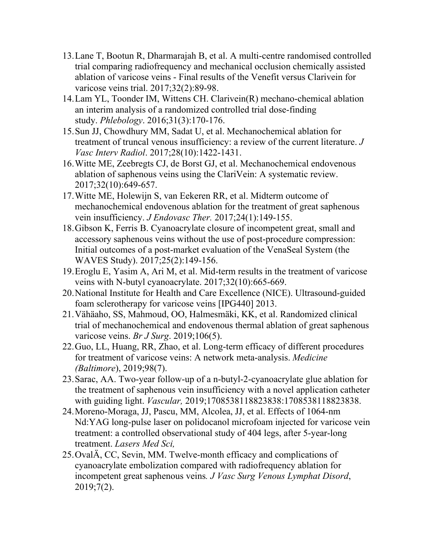- 13.Lane T, Bootun R, Dharmarajah B, et al. A multi-centre randomised controlled trial comparing radiofrequency and mechanical occlusion chemically assisted ablation of varicose veins - Final results of the Venefit versus Clarivein for varicose veins trial. 2017;32(2):89-98.
- 14.Lam YL, Toonder IM, Wittens CH. Clarivein(R) mechano-chemical ablation an interim analysis of a randomized controlled trial dose-finding study. *Phlebology*. 2016;31(3):170-176.
- 15.Sun JJ, Chowdhury MM, Sadat U, et al. Mechanochemical ablation for treatment of truncal venous insufficiency: a review of the current literature. *J Vasc Interv Radiol*. 2017;28(10):1422-1431.
- 16.Witte ME, Zeebregts CJ, de Borst GJ, et al. Mechanochemical endovenous ablation of saphenous veins using the ClariVein: A systematic review. 2017;32(10):649-657.
- 17.Witte ME, Holewijn S, van Eekeren RR, et al. Midterm outcome of mechanochemical endovenous ablation for the treatment of great saphenous vein insufficiency. *J Endovasc Ther.* 2017;24(1):149-155.
- 18.Gibson K, Ferris B. Cyanoacrylate closure of incompetent great, small and accessory saphenous veins without the use of post-procedure compression: Initial outcomes of a post-market evaluation of the VenaSeal System (the WAVES Study). 2017;25(2):149-156.
- 19.Eroglu E, Yasim A, Ari M, et al. Mid-term results in the treatment of varicose veins with N-butyl cyanoacrylate. 2017;32(10):665-669.
- 20.National Institute for Health and Care Excellence (NICE). Ultrasound-guided foam sclerotherapy for varicose veins [IPG440] 2013.
- 21.Vähäaho, SS, Mahmoud, OO, Halmesmäki, KK, et al. Randomized clinical trial of mechanochemical and endovenous thermal ablation of great saphenous varicose veins. *Br J Surg*. 2019;106(5).
- 22.Guo, LL, Huang, RR, Zhao, et al. Long-term efficacy of different procedures for treatment of varicose veins: A network meta-analysis. *Medicine (Baltimore*), 2019;98(7).
- 23.Sarac, AA. Two-year follow-up of a n-butyl-2-cyanoacrylate glue ablation for the treatment of saphenous vein insufficiency with a novel application catheter with guiding light. *Vascular,* 2019;1708538118823838:1708538118823838.
- 24.Moreno-Moraga, JJ, Pascu, MM, Alcolea, JJ, et al. Effects of 1064-nm Nd:YAG long-pulse laser on polidocanol microfoam injected for varicose vein treatment: a controlled observational study of 404 legs, after 5-year-long treatment. *Lasers Med Sci,*
- 25.OvalÄ, CC, Sevin, MM. Twelve-month efficacy and complications of cyanoacrylate embolization compared with radiofrequency ablation for incompetent great saphenous veins*. J Vasc Surg Venous Lymphat Disord*, 2019;7(2).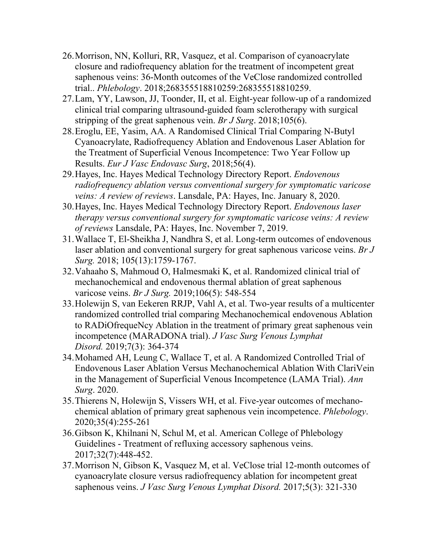- 26.Morrison, NN, Kolluri, RR, Vasquez, et al. Comparison of cyanoacrylate closure and radiofrequency ablation for the treatment of incompetent great saphenous veins: 36-Month outcomes of the VeClose randomized controlled trial.. *Phlebology*. 2018;268355518810259:268355518810259.
- 27.Lam, YY, Lawson, JJ, Toonder, II, et al. Eight-year follow-up of a randomized clinical trial comparing ultrasound-guided foam sclerotherapy with surgical stripping of the great saphenous vein. *Br J Surg*. 2018;105(6).
- 28.Eroglu, EE, Yasim, AA. A Randomised Clinical Trial Comparing N-Butyl Cyanoacrylate, Radiofrequency Ablation and Endovenous Laser Ablation for the Treatment of Superficial Venous Incompetence: Two Year Follow up Results. *Eur J Vasc Endovasc Surg*, 2018;56(4).
- 29.Hayes, Inc. Hayes Medical Technology Directory Report. *Endovenous radiofrequency ablation versus conventional surgery for symptomatic varicose veins: A review of reviews*. Lansdale, PA: Hayes, Inc. January 8, 2020.
- 30.Hayes, Inc. Hayes Medical Technology Directory Report. *Endovenous laser therapy versus conventional surgery for symptomatic varicose veins: A review of reviews* Lansdale, PA: Hayes, Inc. November 7, 2019.
- 31.Wallace T, El-Sheikha J, Nandhra S, et al. Long-term outcomes of endovenous laser ablation and conventional surgery for great saphenous varicose veins. *Br J Surg.* 2018; 105(13):1759-1767.
- 32.Vahaaho S, Mahmoud O, Halmesmaki K, et al. Randomized clinical trial of mechanochemical and endovenous thermal ablation of great saphenous varicose veins. *Br J Surg.* 2019;106(5): 548-554
- 33.Holewijn S, van Eekeren RRJP, Vahl A, et al. Two-year results of a multicenter randomized controlled trial comparing Mechanochemical endovenous Ablation to RADiOfrequeNcy Ablation in the treatment of primary great saphenous vein incompetence (MARADONA trial). *J Vasc Surg Venous Lymphat Disord.* 2019;7(3): 364-374
- 34.Mohamed AH, Leung C, Wallace T, et al. A Randomized Controlled Trial of Endovenous Laser Ablation Versus Mechanochemical Ablation With ClariVein in the Management of Superficial Venous Incompetence (LAMA Trial). *Ann Surg*. 2020.
- 35.Thierens N, Holewijn S, Vissers WH, et al. Five-year outcomes of mechanochemical ablation of primary great saphenous vein incompetence. *Phlebology*. 2020;35(4):255-261
- 36.Gibson K, Khilnani N, Schul M, et al. American College of Phlebology Guidelines - Treatment of refluxing accessory saphenous veins. 2017;32(7):448-452.
- 37.Morrison N, Gibson K, Vasquez M, et al. VeClose trial 12-month outcomes of cyanoacrylate closure versus radiofrequency ablation for incompetent great saphenous veins. *J Vasc Surg Venous Lymphat Disord.* 2017;5(3): 321-330